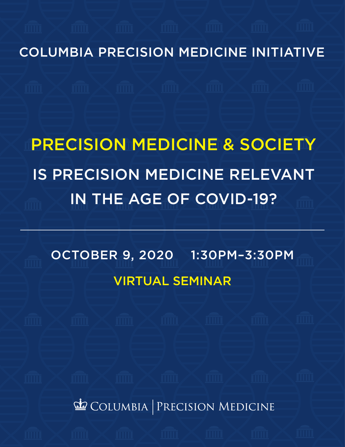COLUMBIA PRECISION MEDICINE INITIATIVE

# PRECISION MEDICINE & SOCIETY IS PRECISION MEDICINE RELEVANT IN THE AGE OF COVID-19?

OCTOBER 9, 2020 1:30PM–3:30PM VIRTUAL SEMINAR

COLUMBIA PRECISION MEDICINE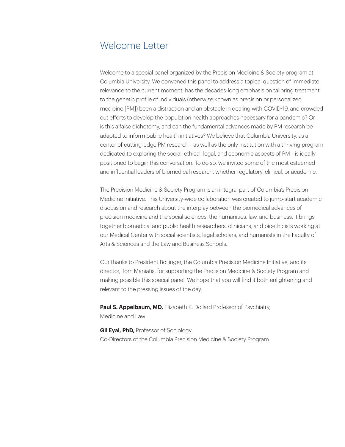### Welcome Letter

Welcome to a special panel organized by the Precision Medicine & Society program at Columbia University. We convened this panel to address a topical question of immediate relevance to the current moment: has the decades-long emphasis on tailoring treatment to the genetic profile of individuals (otherwise known as precision or personalized medicine [PM]) been a distraction and an obstacle in dealing with COVID-19, and crowded out efforts to develop the population health approaches necessary for a pandemic? Or is this a false dichotomy, and can the fundamental advances made by PM research be adapted to inform public health initiatives? We believe that Columbia University, as a center of cutting-edge PM research—as well as the only institution with a thriving program dedicated to exploring the social, ethical, legal, and economic aspects of PM—is ideally positioned to begin this conversation. To do so, we invited some of the most esteemed and influential leaders of biomedical research, whether regulatory, clinical, or academic.

The Precision Medicine & Society Program is an integral part of Columbia's Precision Medicine Initiative. This University-wide collaboration was created to jump-start academic discussion and research about the interplay between the biomedical advances of precision medicine and the social sciences, the humanities, law, and business. It brings together biomedical and public health researchers, clinicians, and bioethicists working at our Medical Center with social scientists, legal scholars, and humanists in the Faculty of Arts & Sciences and the Law and Business Schools.

Our thanks to President Bollinger, the Columbia Precision Medicine Initiative, and its director, Tom Maniatis, for supporting the Precision Medicine & Society Program and making possible this special panel. We hope that you will find it both enlightening and relevant to the pressing issues of the day.

Paul S. Appelbaum, MD, Elizabeth K. Dollard Professor of Psychiatry, Medicine and Law

**Gil Eyal, PhD, Professor of Sociology** Co-Directors of the Columbia Precision Medicine & Society Program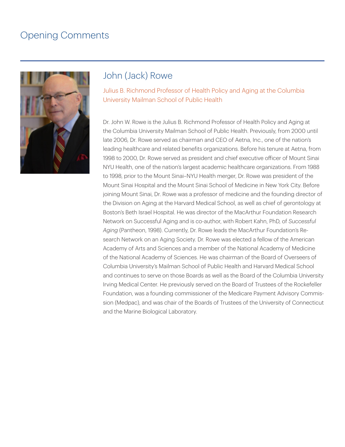# Opening Comments



#### John (Jack) Rowe

Julius B. Richmond Professor of Health Policy and Aging at the Columbia University Mailman School of Public Health

Dr. John W. Rowe is the Julius B. Richmond Professor of Health Policy and Aging at the Columbia University Mailman School of Public Health. Previously, from 2000 until late 2006, Dr. Rowe served as chairman and CEO of Aetna, Inc., one of the nation's leading healthcare and related benefits organizations. Before his tenure at Aetna, from 1998 to 2000, Dr. Rowe served as president and chief executive officer of Mount Sinai NYU Health, one of the nation's largest academic healthcare organizations. From 1988 to 1998, prior to the Mount Sinai–NYU Health merger, Dr. Rowe was president of the Mount Sinai Hospital and the Mount Sinai School of Medicine in New York City. Before joining Mount Sinai, Dr. Rowe was a professor of medicine and the founding director of the Division on Aging at the Harvard Medical School, as well as chief of gerontology at Boston's Beth Israel Hospital. He was director of the MacArthur Foundation Research Network on Successful Aging and is co-author, with Robert Kahn, PhD, of *Successful Aging* (Pantheon, 1998). Currently, Dr. Rowe leads the MacArthur Foundation's Research Network on an Aging Society. Dr. Rowe was elected a fellow of the American Academy of Arts and Sciences and a member of the National Academy of Medicine of the National Academy of Sciences. He was chairman of the Board of Overseers of Columbia University's Mailman School of Public Health and Harvard Medical School and continues to serve on those Boards as well as the Board of the Columbia University Irving Medical Center. He previously served on the Board of Trustees of the Rockefeller Foundation, was a founding commissioner of the Medicare Payment Advisory Commission (Medpac), and was chair of the Boards of Trustees of the University of Connecticut and the Marine Biological Laboratory.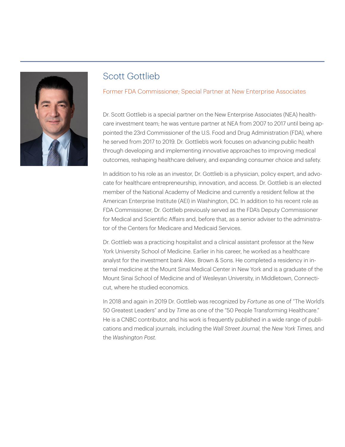

# Scott Gottlieb

Former FDA Commissioner; Special Partner at New Enterprise Associates

Dr. Scott Gottlieb is a special partner on the New Enterprise Associates (NEA) healthcare investment team; he was venture partner at NEA from 2007 to 2017 until being appointed the 23rd Commissioner of the U.S. Food and Drug Administration (FDA), where he served from 2017 to 2019. Dr. Gottlieb's work focuses on advancing public health through developing and implementing innovative approaches to improving medical outcomes, reshaping healthcare delivery, and expanding consumer choice and safety.

In addition to his role as an investor, Dr. Gottlieb is a physician, policy expert, and advocate for healthcare entrepreneurship, innovation, and access. Dr. Gottlieb is an elected member of the National Academy of Medicine and currently a resident fellow at the American Enterprise Institute (AEI) in Washington, DC. In addition to his recent role as FDA Commissioner, Dr. Gottlieb previously served as the FDA's Deputy Commissioner for Medical and Scientific Affairs and, before that, as a senior adviser to the administrator of the Centers for Medicare and Medicaid Services.

Dr. Gottlieb was a practicing hospitalist and a clinical assistant professor at the New York University School of Medicine. Earlier in his career, he worked as a healthcare analyst for the investment bank Alex. Brown & Sons. He completed a residency in internal medicine at the Mount Sinai Medical Center in New York and is a graduate of the Mount Sinai School of Medicine and of Wesleyan University, in Middletown, Connecticut, where he studied economics.

In 2018 and again in 2019 Dr. Gottlieb was recognized by *Fortune* as one of "The World's 50 Greatest Leaders" and by *Time* as one of the "50 People Transforming Healthcare." He is a CNBC contributor, and his work is frequently published in a wide range of publications and medical journals, including the *Wall Street Journal,* the *New York Times,* and the *Washington Post.*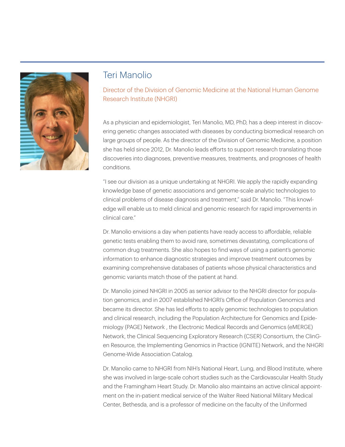

#### Teri Manolio

Director of the Division of Genomic Medicine at the National Human Genome Research Institute (NHGRI)

As a physician and epidemiologist, Teri Manolio, MD, PhD, has a deep interest in discovering genetic changes associated with diseases by conducting biomedical research on large groups of people. As the director of the Division of Genomic Medicine, a position she has held since 2012, Dr. Manolio leads efforts to support research translating those discoveries into diagnoses, preventive measures, treatments, and prognoses of health conditions.

"I see our division as a unique undertaking at NHGRI. We apply the rapidly expanding knowledge base of genetic associations and genome-scale analytic technologies to clinical problems of disease diagnosis and treatment," said Dr. Manolio. "This knowledge will enable us to meld clinical and genomic research for rapid improvements in clinical care."

Dr. Manolio envisions a day when patients have ready access to affordable, reliable genetic tests enabling them to avoid rare, sometimes devastating, complications of common drug treatments. She also hopes to find ways of using a patient's genomic information to enhance diagnostic strategies and improve treatment outcomes by examining comprehensive databases of patients whose physical characteristics and genomic variants match those of the patient at hand.

Dr. Manolio joined NHGRI in 2005 as senior advisor to the NHGRI director for population genomics, and in 2007 established NHGRI's Office of Population Genomics and became its director. She has led efforts to apply genomic technologies to population and clinical research, including the Population Architecture for Genomics and Epidemiology (PAGE) Network , the Electronic Medical Records and Genomics (eMERGE) Network, the Clinical Sequencing Exploratory Research (CSER) Consortium, the ClinGen Resource, the Implementing Genomics in Practice (IGNITE) Network, and the NHGRI Genome-Wide Association Catalog.

Dr. Manolio came to NHGRI from NIH's National Heart, Lung, and Blood Institute, where she was involved in large-scale cohort studies such as the Cardiovascular Health Study and the Framingham Heart Study. Dr. Manolio also maintains an active clinical appointment on the in-patient medical service of the Walter Reed National Military Medical Center, Bethesda, and is a professor of medicine on the faculty of the Uniformed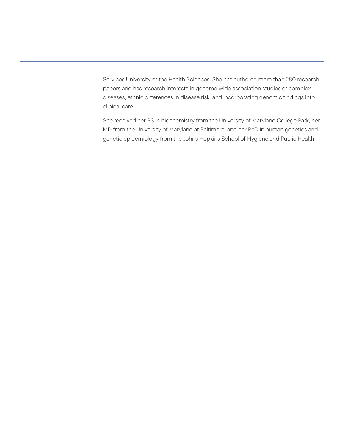Services University of the Health Sciences. She has authored more than 280 research papers and has research interests in genome-wide association studies of complex diseases, ethnic differences in disease risk, and incorporating genomic findings into clinical care.

She received her BS in biochemistry from the University of Maryland College Park, her MD from the University of Maryland at Baltimore, and her PhD in human genetics and genetic epidemiology from the Johns Hopkins School of Hygiene and Public Health.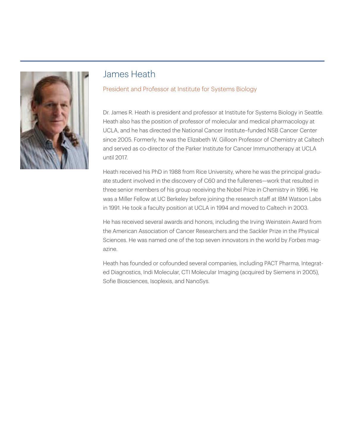

## James Heath

#### President and Professor at Institute for Systems Biology

Dr. James R. Heath is president and professor at Institute for Systems Biology in Seattle. Heath also has the position of professor of molecular and medical pharmacology at UCLA, and he has directed the National Cancer Institute–funded NSB Cancer Center since 2005. Formerly, he was the Elizabeth W. Gilloon Professor of Chemistry at Caltech and served as co-director of the Parker Institute for Cancer Immunotherapy at UCLA until 2017.

Heath received his PhD in 1988 from Rice University, where he was the principal graduate student involved in the discovery of C60 and the fullerenes—work that resulted in three senior members of his group receiving the Nobel Prize in Chemistry in 1996. He was a Miller Fellow at UC Berkeley before joining the research staff at IBM Watson Labs in 1991. He took a faculty position at UCLA in 1994 and moved to Caltech in 2003.

He has received several awards and honors, including the Irving Weinstein Award from the American Association of Cancer Researchers and the Sackler Prize in the Physical Sciences. He was named one of the top seven innovators in the world by *Forbes* magazine.

Heath has founded or cofounded several companies, including PACT Pharma, Integrated Diagnostics, Indi Molecular, CTI Molecular Imaging (acquired by Siemens in 2005), Sofie Biosciences, Isoplexis, and NanoSys.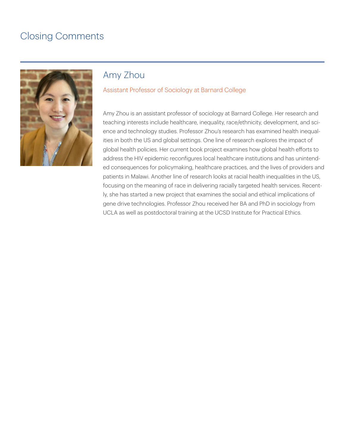# Closing Comments



#### Amy Zhou

#### Assistant Professor of Sociology at Barnard College

Amy Zhou is an assistant professor of sociology at Barnard College. Her research and teaching interests include healthcare, inequality, race/ethnicity, development, and science and technology studies. Professor Zhou's research has examined health inequalities in both the US and global settings. One line of research explores the impact of global health policies. Her current book project examines how global health efforts to address the HIV epidemic reconfigures local healthcare institutions and has unintended consequences for policymaking, healthcare practices, and the lives of providers and patients in Malawi. Another line of research looks at racial health inequalities in the US, focusing on the meaning of race in delivering racially targeted health services. Recently, she has started a new project that examines the social and ethical implications of gene drive technologies. Professor Zhou received her BA and PhD in sociology from UCLA as well as postdoctoral training at the UCSD Institute for Practical Ethics.